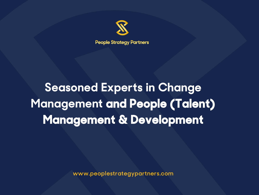

# **Seasoned Experts in Change Management and People (Talent) Management & Development**

**www.peoplestrategypartners.com**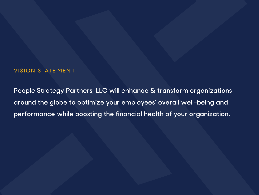#### VISION STATE MEN T

**People Strategy Partners, LLC will enhance & transform organizations around the globe to optimize your employees' overall well-being and performance while boosting the financial health of your organization.**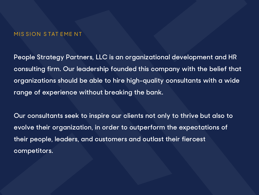#### MIS SION STAT EMENT

**People Strategy Partners, LLC is an organizational development and HR consulting firm. Our leadership founded this company with the belief that organizations should be able to hire high-quality consultants with a wide range of experience without breaking the bank.**

**Our consultants seek to inspire our clients not only to thrive but also to evolve their organization, in order to outperform the expectations of their people, leaders, and customers and outlast their fiercest competitors.**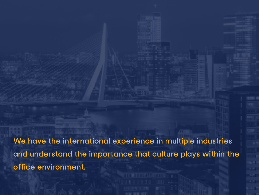**We have the international experience in multiple industries and understand the importance that culture plays within the office environment.**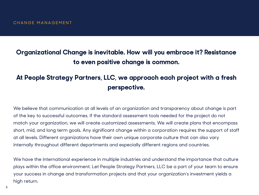## **Organizational Change is inevitable. How will you embrace it? Resistance to even positive change is common.**

## **At People Strategy Partners, LLC, we approach each project with a fresh perspective.**

We believe that communication at all levels of an organization and transparency about change is part of the key to successful outcomes. If the standard assessment tools needed for the project do not match your organization, we will create customized assessments. We will create plans that encompass short, mid, and long term goals. Any significant change within a corporation requires the support of staff at all levels. Different organizations have their own unique corporate culture that can also vary internally throughout different departments and especially different regions and countries.

We have the international experience in multiple industries and understand the importance that culture plays within the office environment. Let People Strategy Partners, LLC be a part of your team to ensure your success in change and transformation projects and that your organization's investment yields a high return.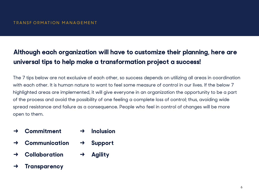## **Although each organization will have to customize their planning, here are universal tips to help make a transformation project a success!**

The 7 tips below are not exclusive of each other, so success depends on utilizing all areas in coordination with each other. It is human nature to want to feel some measure of control in our lives. If the below 7 highlighted areas are implemented, it will give everyone in an organization the opportunity to be a part of the process and avoid the possibility of one feeling a complete loss of control; thus, avoiding wide spread resistance and failure as a consequence. People who feel in control of changes will be more open to them.

- **→ Commitment → Inclusion**
- **→ Communication → Support**
- **→ Collaboration → Agility**
- **→ Transparency**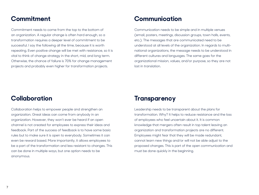#### **Commitment**

Commitment needs to come from the top to the bottom of an organization. A regular change is often hard enough, so a transformation requires a deeper level of commitment to be successful. I say the following all the time, because it is worth repeating. Even positive change will be met with resistance, so it is vital to think of change strategy in the short, mid, and long term. Otherwise, the chance of failure is 70% for change management projects and probably even higher for transformation projects.

## **Communication**

Communication needs to be simple and in multiple venues (email, posters, meetings, discussion groups, town halls, events, etc.). The messages that are communicated need to be understood at all levels of the organization. In regards to multinational organizations, the message needs to be understood in different cultures and languages. The same goes for the organizational mission, values, and/or purpose, so they are not lost in translation.

## **Collaboration**

Collaboration helps to empower people and strengthen an organization. Great ideas can come from anybody in an organization. However, they won't ever be heard if an open channel is not created for employees to express their ideas and feedback. Part of the success of feedback is to have some basic rules but to make sure it is open to everybody. Sometimes it can even be reward based. More importantly, it allows employees to be a part of the transformation and less resistant to changes. This can be done in multiple ways, but one option needs to be anonymous.

#### **Transparency**

Leadership needs to be transparent about the plans for transformation. Why? It helps to reduce resistance and the loss of employees who feel uncertain about it. It is common knowledge that mergers often result in top talent leaving an organization and transformation projects are no different. Employees might fear that they will be made redundant, cannot learn new things and/or will not be able adjust to the proposed changes. This is part of the open communication and must be done quickly in the beginning.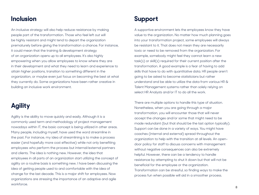#### **Inclusion**

An inclusive strategy will also help reduce resistance by making people part of the transformation. Those who feel left out will be highly resistant and might tend to depart the organization prematurely before giving the transformation a chance. For instance, it could mean that the training & development strategy of an organization opens up to all employees. It's also highly empowering when you allow employees to know where they are in their development and what they need to learn and experience to attain higher positions, transition to something different in the organization, or maybe even just focus on becoming the best at what they currently do. Some organizations have been rather creative in building an inclusive work environment.

## **Agility**

Agility is the ability to move quickly and easily. Although it is a commonly used term and methodology of project management nowadays within IT, the basic concept is being utilized in other areas. Many people, including myself, have used the word streamline in the past. For instance, my idea of streamlining is to make a process easier (and hopefully more cost effective) while not only benefiting employees who perform the process but internal/external partners and clients. The idea is nothing new. However, the idea that employees in all parts of an organization start utilizing the concept of agility on a routine basis is something new. I have been discussing the idea of getting people used to and comfortable with the idea of change for the last decade. This is a major shift for employees. Now organizations are stressing the importance of an adaptive and agile workforce.

## **Support**

A supportive environment lets the employees know they have value to the organization. No matter how much planning goes into your transformation project, some employees will always be resistant to it. That does not mean they are necessarily toxic or need to be removed from the organization. For example, somebody might feel they cannot learn a new task(s) or skill(s) required for their current position after the transformation. A good example is a fear of having to add skills that have to do with quantitative data. HR people aren't going to be asked to become statisticians but rather understand and be able to utilize the data from various HR & Talent Management systems rather than solely relying on select HR Analysts and/or IT to do all the work.

There are multiple options to handle this type of situation. Nonetheless, when you are going through a major transformation, you will encounter those that will never accept the changes and/or some that might need to be made redundant (but that should be the last option typically). Support can be done in a variety of ways. You might have coaches (internal and external) spread throughout the organization to help with the transition at all levels. An opendoor policy for staff to discuss concerns with management without negative consequences can also be extremely helpful. However, there can be a tendency to handle resistance by attempting to shut it down but that will not be beneficial for the employee or the organization. Transformation can be stressful, so finding ways to make the process fun when possible will aid in a smoother process.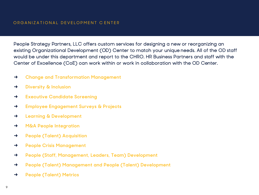People Strategy Partners, LLC offers custom services for designing a new or reorganizing an existing Organizational Development (OD) Center to match your unique needs. All of the OD staff would be under this department and report to the CHRO. HR Business Partners and staff with the Center of Excellence (CoE) can work within or work in collaboration with the OD Center.

- **→ Change and Transformation Management**
- **→ Diversity & Inclusion**
- **→ Executive Candidate Screening**
- **→ Employee Engagement Surveys & Projects**
- **→ Learning & Development**
- **→ M&A People Integration**
- **→ People (Talent) Acquisition**
- **→ People Crisis Management**
- **→ People (Staff, Management, Leaders, Team) Development**
- **→ People (Talent) Management and People (Talent) Development**
- **→ People (Talent) Metrics**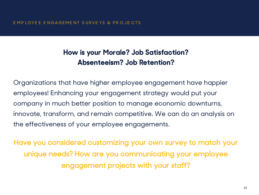## **How is your Morale? Job Satisfaction? Absenteeism? Job Retention?**

Organizations that have higher employee engagement have happier employees! Enhancing your engagement strategy would put your company in much better position to manage economic downturns, innovate, transform, and remain competitive. We can do an analysis on the effectiveness of your employee engagements.

Have you considered customizing your own survey to match your unique needs? How are you communicating your employee engagement projects with your staff?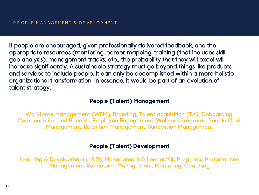If people are encouraged, given professionally delivered feedback, and the appropriate resources (mentoring, career mapping, training (that includes skill gap analysis), management tracks, etc., the probability that they will excel will increase significantly. A sustainable strategy must go beyond things like products and services to include people. It can only be accomplished within a more holistic organizational transformation. In essence, it would be part of an evolution of talent strategy.

#### **People (Talent) Management**

Workforce Management (WFM), Branding, Talent acquisition (TA), Onboarding, Compensation and Benefits, Employee Engagement, Wellness Programs, People Crisis Management, Retention Management, Succession Management

#### **People (Talent) Development**

Learning & Development (L&D), Management & Leadership Programs, Performance Management, Succession Management, Mentoring, Coaching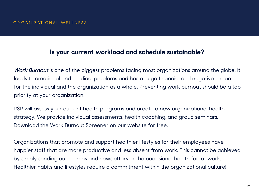## **Is your current workload and schedule sustainable?**

*Work Burnout* is one of the biggest problems facing most organizations around the globe. It leads to emotional and medical problems and has a huge financial and negative impact for the individual and the organization as a whole. Preventing work burnout should be a top priority at your organization!

PSP will assess your current health programs and create a new organizational health strategy. We provide individual assessments, health coaching, and group seminars. Download the Work Burnout Screener on our website for free.

Organizations that promote and support healthier lifestyles for their employees have happier staff that are more productive and less absent from work. This cannot be achieved by simply sending out memos and newsletters or the occasional health fair at work. Healthier habits and lifestyles require a commitment within the organizational culture!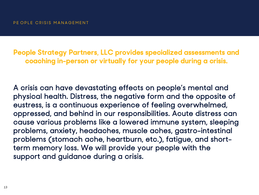**People Strategy Partners, LLC provides specialized assessments and coaching in-person or virtually for your people during a crisis.** 

A crisis can have devastating effects on people's mental and physical health. Distress, the negative form and the opposite of eustress, is a continuous experience of feeling overwhelmed, oppressed, and behind in our responsibilities. Acute distress can cause various problems like a lowered immune system, sleeping problems, anxiety, headaches, muscle aches, gastro-intestinal problems (stomach ache, heartburn, etc.), fatigue, and shortterm memory loss. We will provide your people with the support and guidance during a crisis.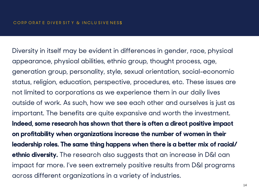Diversity in itself may be evident in differences in gender, race, physical appearance, physical abilities, ethnic group, thought process, age, generation group, personality, style, sexual orientation, social-economic status, religion, education, perspective, procedures, etc. These issues are not limited to corporations as we experience them in our daily lives outside of work. As such, how we see each other and ourselves is just as important. The benefits are quite expansive and worth the investment. **Indeed, some research has shown that there is often a direct positive impact on profitability when organizations increase the number of women in their leadership roles. The same thing happens when there is a better mix of racial/ ethnic diversity.** The research also suggests that an increase in D&I can impact far more. I've seen extremely positive results from D&I programs across different organizations in a variety of industries.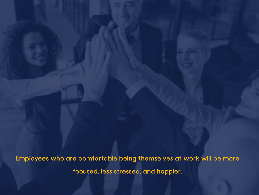**Employees who are comfortable being themselves at work will be more focused, less stressed, and happier.**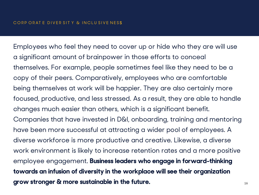Employees who feel they need to cover up or hide who they are will use a significant amount of brainpower in those efforts to conceal themselves. For example, people sometimes feel like they need to be a copy of their peers. Comparatively, employees who are comfortable being themselves at work will be happier. They are also certainly more focused, productive, and less stressed. As a result, they are able to handle changes much easier than others, which is a significant benefit. Companies that have invested in D&I, onboarding, training and mentoring have been more successful at attracting a wider pool of employees. A diverse workforce is more productive and creative. Likewise, a diverse work environment is likely to increase retention rates and a more positive employee engagement. **Business leaders who engage in forward-thinking towards an infusion of diversity in the workplace will see their organization grow stronger & more sustainable in the future.** <sup>16</sup>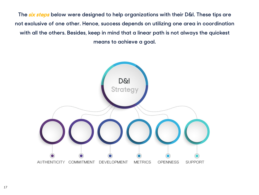**The six steps below were designed to help organizations with their D&I. These tips are not exclusive of one other. Hence, success depends on utilizing one area in coordination with all the others. Besides, keep in mind that a linear path is not always the quickest means to achieve a goal.**

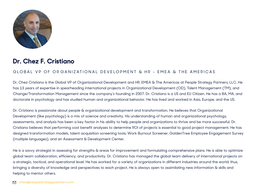

## **Dr. Chez F. Cristiano**

#### GLOBAL VP OF OR GANIZATIONAL DEVELOPMENT & HR - EMEA & THE AMERICAS

Dr. Chez Cristiano is the Global VP of Organizational Development and HR, EMEA & The Americas at People Strategy Partners, LLC. He has 13 years of expertise in spearheading international projects in Organizational Development (OD), Talent Management (TM), and Change/Transformation Management since the company's founding in 2007. Dr. Cristiano is a US and EU Citizen. He has a BA, MA, and doctorate in psychology and has studied human and organizational behavior. He has lived and worked in Asia, Europe, and the US.

Dr. Cristiano is passionate about people & organizational development and transformation. He believes that Organizational Development (like psychology) is a mix of science and creativity. His understanding of human and organizational psychology, assessments, and analysis has been a key factor in his ability to help people and organizations to thrive and be more successful. Dr. Cristiano believes that performing cost benefit analyses to determine ROI of projects is essential to good project management. He has designed transformation models, talent acquisition screening tools, Work Burnout Screener, GoldenTree Employee Engagement Survey (multiple languages), and an Assessment & Development Center.

He is a savvy strategist in assessing for strengths & areas for improvement and formulating comprehensive plans. He is able to optimize global team collaboration, efficiency, and productivity. Dr. Cristiano has managed the global team delivery of international projects on a strategic, tactical, and operational level. He has worked for a variety of organizations in different industries around the world; thus, bringing a diversity of knowledge and perspectives to each project. He is always open to assimilating new information & skills and helping to mentor others.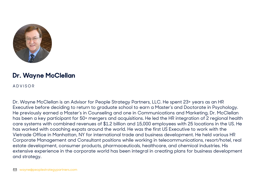

## **Dr. Wayne McClellan**

ADVISOR

Dr. Wayne McClellan is an Advisor for People Strategy Partners, LLC. He spent 23+ years as an HR Executive before deciding to return to graduate school to earn a Master's and Doctorate in Psychology. He previously earned a Master's in Counseling and one in Communications and Marketing. Dr. McClellan has been a key participant for 50+ mergers and acquisitions. He led the HR integration of 2 regional health care systems with combined revenues of \$1.2 billion and 15,000 employees with 25 locations in the US. He has worked with coaching expats around the world. He was the first US Executive to work with the Vietrade Office in Manhattan, NY for international trade and business development. He held various HR Corporate Management and Consultant positions while working in telecommunications, resort/hotel, real estate development, consumer products, pharmaceuticals, healthcare, and chemical industries. His extensive experience in the corporate world has been integral in creating plans for business development and strategy.

wayne@peoplestrategypartners.com